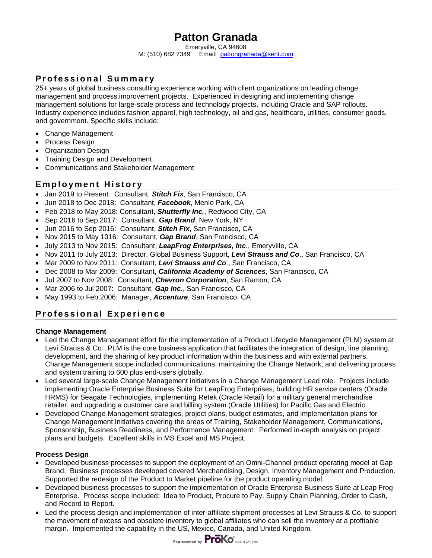# **Patton Granada**

Emeryville, CA 94608

M: (510) 682 7349 Email: pattongranada@sent.com

# **Professional Summary**

25+ years of global business consulting experience working with client organizations on leading change management and process improvement projects. Experienced in designing and implementing change management solutions for large-scale process and technology projects, including Oracle and SAP rollouts. Industry experience includes fashion apparel, high technology, oil and gas, healthcare, utilities, consumer goods, and government. Specific skills include:

- Change Management
- Process Design
- Organization Design
- Training Design and Development
- Communications and Stakeholder Management

### **Employment History**

- Jan 2019 to Present: Consultant, *Stitch Fix*, San Francisco, CA
- Jun 2018 to Dec 2018: Consultant, *Facebook*, Menlo Park, CA
- Feb 2018 to May 2018: Consultant, *Shutterfly Inc.*, Redwood City, CA
- Sep 2016 to Sep 2017: Consultant, *Gap Brand*, New York, NY
- Jun 2016 to Sep 2016: Consultant, *Stitch Fix*, San Francisco, CA
- Nov 2015 to May 1016: Consultant, *Gap Brand*, San Francisco, CA
- July 2013 to Nov 2015: Consultant, *LeapFrog Enterprises, Inc*., Emeryville, CA
- Nov 2011 to July 2013: Director, Global Business Support, *Levi Strauss and Co*., San Francisco, CA
- Mar 2009 to Nov 2011: Consultant, *Levi Strauss and Co*., San Francisco, CA
- Dec 2008 to Mar 2009: Consultant, *California Academy of Sciences*, San Francisco, CA
- Jul 2007 to Nov 2008: Consultant, *Chevron Corporation*, San Ramon, CA
- Mar 2006 to Jul 2007: Consultant, *Gap Inc.*, San Francisco, CA
- May 1993 to Feb 2006: Manager, *Accenture*, San Francisco, CA

# **Professional Experience**

#### **Change Management**

- Led the Change Management effort for the implementation of a Product Lifecycle Management (PLM) system at Levi Strauss & Co. PLM is the core business application that facilitates the integration of design, line planning, development, and the sharing of key product information within the business and with external partners. Change Management scope included communications, maintaining the Change Network, and delivering process and system training to 600 plus end-users globally.
- Led several large-scale Change Management initiatives in a Change Management Lead role. Projects include implementing Oracle Enterprise Business Suite for LeapFrog Enterprises, building HR service centers (Oracle HRMS) for Seagate Technologies, implementing Retek (Oracle Retail) for a military general merchandise retailer, and upgrading a customer care and billing system (Oracle Utilities) for Pacific Gas and Electric.
- Developed Change Management strategies, project plans, budget estimates, and implementation plans for Change Management initiatives covering the areas of Training, Stakeholder Management, Communications, Sponsorship, Business Readiness, and Performance Management. Performed in-depth analysis on project plans and budgets. Excellent skills in MS Excel and MS Project.

#### **Process Design**

- Developed business processes to support the deployment of an Omni-Channel product operating model at Gap Brand. Business processes developed covered Merchandising, Design, Inventory Management and Production. Supported the redesign of the Product to Market pipeline for the product operating model.
- Developed business processes to support the implementation of Oracle Enterprise Business Suite at Leap Frog Enterprise. Process scope included: Idea to Product, Procure to Pay, Supply Chain Planning, Order to Cash, and Record to Report.
- Led the process design and implementation of inter-affiliate shipment processes at Levi Strauss & Co. to support the movement of excess and obsolete inventory to global affiliates who can sell the inventory at a profitable margin. Implemented the capability in the US, Mexico, Canada, and United Kingdom.